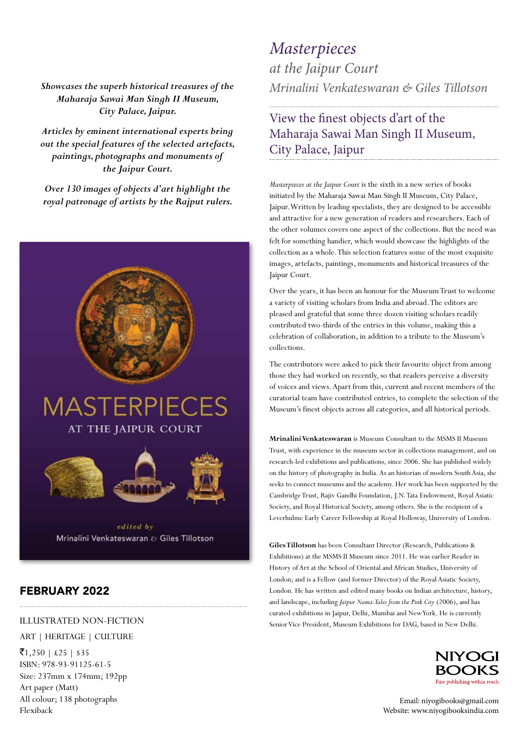*Showcases the superb historical treasures of the Maharaja Sawai Man Singh II Museum, City Palace, Jaipur.* 

*Articles by eminent international experts bring out the special features of the selected artefacts, paintings, photographs and monuments of the Jaipur Court.*

*Over 130 images of objects d'art highlight the royal patronage of artists by the Rajput rulers.* 



### FEBRUARY 2022

#### ILLUSTRATED NON-FICTION

### ART | HERITAGE | CULTURE

 $\bar{z}$ 1,250 | £25 | \$35 ISBN: 978-93-91125-61-5 Size: 237mm x 174mm; 192pp Art paper (Matt) All colour; 138 photographs Flexiback

# *Mrinalini Venkateswaran & Giles Tillotson Masterpieces at the Jaipur Court*

## View the finest objects d'art of the Maharaja Sawai Man Singh II Museum, City Palace, Jaipur

*Masterpieces at the Jaipur Court* is the sixth in a new series of books initiated by the Maharaja Sawai Man Singh II Museum, City Palace, Jaipur. Written by leading specialists, they are designed to be accessible and attractive for a new generation of readers and researchers. Each of the other volumes covers one aspect of the collections. But the need was felt for something handier, which would showcase the highlights of the collection as a whole. This selection features some of the most exquisite images, artefacts, paintings, monuments and historical treasures of the Jaipur Court.

Over the years, it has been an honour for the Museum Trust to welcome a variety of visiting scholars from India and abroad. The editors are pleased and grateful that some three dozen visiting scholars readily contributed two-thirds of the entries in this volume, making this a celebration of collaboration, in addition to a tribute to the Museum's collections.

The contributors were asked to pick their favourite object from among those they had worked on recently, so that readers perceive a diversity of voices and views. Apart from this, current and recent members of the curatorial team have contributed entries, to complete the selection of the Museum's finest objects across all categories, and all historical periods.

**Mrinalini Venkateswaran** is Museum Consultant to the MSMS II Museum Trust, with experience in the museum sector in collections management, and on research-led exhibitions and publications, since 2006. She has published widely on the history of photography in India. As an historian of modern South Asia, she seeks to connect museums and the academy. Her work has been supported by the Cambridge Trust, Rajiv Gandhi Foundation, J.N. Tata Endowment, Royal Asiatic Society, and Royal Historical Society, among others. She is the recipient of a Leverhulme Early Career Fellowship at Royal Holloway, University of London.

**Giles Tillotson** has been Consultant Director (Research, Publications & Exhibitions) at the MSMS II Museum since 2011. He was earlier Reader in History of Art at the School of Oriental and African Studies, University of London; and is a Fellow (and former Director) of the Royal Asiatic Society, London. He has written and edited many books on Indian architecture, history, and landscape, including *Jaipur Nama: Tales from the Pink City* (2006), and has curated exhibitions in Jaipur, Delhi, Mumbai and New York. He is currently Senior Vice President, Museum Exhibitions for DAG, based in New Delhi.



Email: niyogibooks@gmail.com Website: www.niyogibooksindia.com